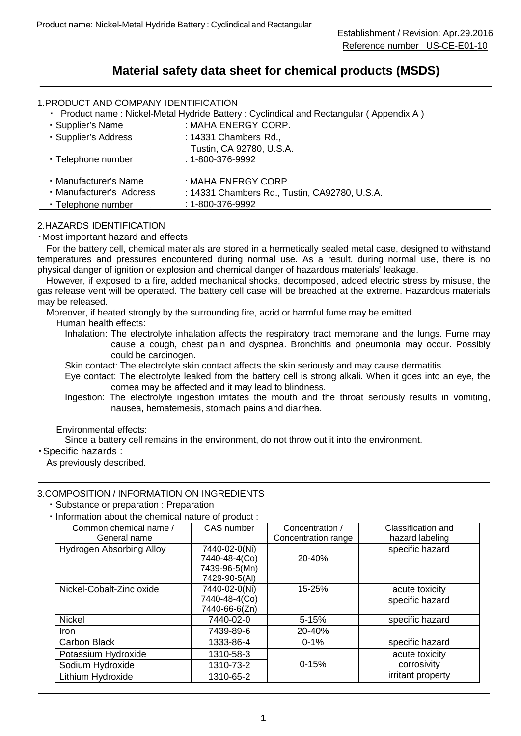## **Material safety data sheet for chemical products (MSDS)**

## 1.PRODUCT AND COMPANY IDENTIFICATION

・ Product name : Nickel-Metal Hydride Battery : Cyclindical and Rectangular ( Appendix A )

| • Supplier's Name        | : MAHA ENERGY CORP.                           |
|--------------------------|-----------------------------------------------|
| · Supplier's Address     | : 14331 Chambers Rd.,                         |
|                          | Tustin, CA 92780, U.S.A.                      |
| • Telephone number       | $: 1 - 800 - 376 - 9992$                      |
|                          |                                               |
| • Manufacturer's Name    | : MAHA ENERGY CORP.                           |
| · Manufacturer's Address | : 14331 Chambers Rd., Tustin, CA92780, U.S.A. |
| • Telephone number       | $: 1 - 800 - 376 - 9992$                      |

## 2.HAZARDS IDENTIFICATION

#### ・Most important hazard and effects

 For the battery cell, chemical materials are stored in a hermetically sealed metal case, designed to withstand temperatures and pressures encountered during normal use. As a result, during normal use, there is no physical danger of ignition or explosion and chemical danger of hazardous materials' leakage.

 gas release vent will be operated. The battery cell case will be breached at the extreme. Hazardous materials However, if exposed to a fire, added mechanical shocks, decomposed, added electric stress by misuse, the may be released.

Moreover, if heated strongly by the surrounding fire, acrid or harmful fume may be emitted.

- Human health effects:
	- Inhalation: The electrolyte inhalation affects the respiratory tract membrane and the lungs. Fume may cause a cough, chest pain and dyspnea. Bronchitis and pneumonia may occur. Possibly could be carcinogen.
	- Skin contact: The electrolyte skin contact affects the skin seriously and may cause dermatitis.
	- Eye contact: The electrolyte leaked from the battery cell is strong alkali. When it goes into an eye, the cornea may be affected and it may lead to blindness.
	- Ingestion: The electrolyte ingestion irritates the mouth and the throat seriously results in vomiting, nausea, hematemesis, stomach pains and diarrhea.

#### Environmental effects:

Since a battery cell remains in the environment, do not throw out it into the environment.

## ・Specific hazards :

As previously described.

#### 3.COMPOSITION / INFORMATION ON INGREDIENTS

- ・Substance or preparation : Preparation
- ・Information about the chemical nature of product :

| Common chemical name /<br>General name | CAS number                                                       | Concentration /<br>Concentration range | Classification and<br>hazard labeling |
|----------------------------------------|------------------------------------------------------------------|----------------------------------------|---------------------------------------|
| Hydrogen Absorbing Alloy               | 7440-02-0(Ni)<br>7440-48-4(Co)<br>7439-96-5(Mn)<br>7429-90-5(AI) | 20-40%                                 | specific hazard                       |
| Nickel-Cobalt-Zinc oxide               | 7440-02-0(Ni)<br>7440-48-4(Co)<br>7440-66-6(Zn)                  | 15-25%                                 | acute toxicity<br>specific hazard     |
| <b>Nickel</b>                          | 7440-02-0                                                        | $5 - 15%$                              | specific hazard                       |
| Iron                                   | 7439-89-6                                                        | 20-40%                                 |                                       |
| Carbon Black                           | 1333-86-4                                                        | $0 - 1\%$                              | specific hazard                       |
| Potassium Hydroxide                    | 1310-58-3                                                        |                                        | acute toxicity                        |
| Sodium Hydroxide                       | 1310-73-2                                                        | $0 - 15%$                              | corrosivity                           |
| Lithium Hydroxide                      | 1310-65-2                                                        |                                        | irritant property                     |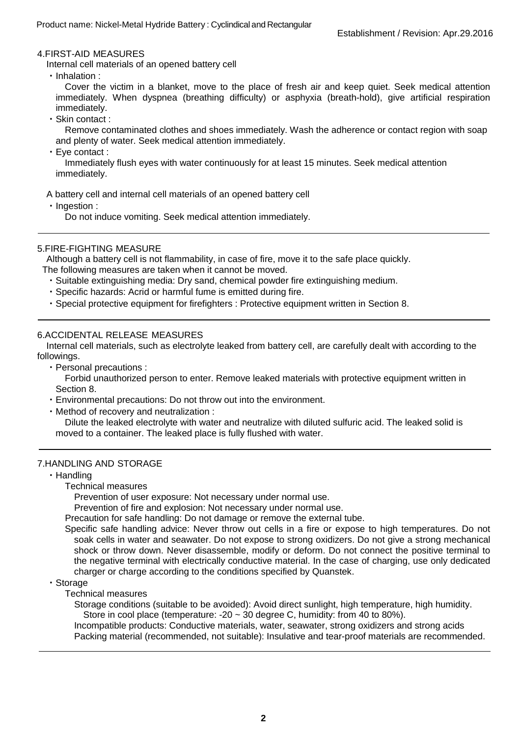## 4.FIRST-AID MEASURES

Internal cell materials of an opened battery cell

・Inhalation :

 Cover the victim in a blanket, move to the place of fresh air and keep quiet. Seek medical attention immediately. When dyspnea (breathing difficulty) or asphyxia (breath-hold), give artificial respiration immediately.

・Skin contact :

Remove contaminated clothes and shoes immediately. Wash the adherence or contact region with soap and plenty of water. Seek medical attention immediately.

・Eye contact :

Immediately flush eyes with water continuously for at least 15 minutes. Seek medical attention immediately.

A battery cell and internal cell materials of an opened battery cell

・Ingestion :

Do not induce vomiting. Seek medical attention immediately.

## 5.FIRE-FIGHTING MEASURE

Although a battery cell is not flammability, in case of fire, move it to the safe place quickly.

- The following measures are taken when it cannot be moved.
	- ・Suitable extinguishing media: Dry sand, chemical powder fire extinguishing medium.
	- ・Specific hazards: Acrid or harmful fume is emitted during fire.
	- ・Special protective equipment for firefighters : Protective equipment written in Section 8.

#### 6.ACCIDENTAL RELEASE MEASURES

Internal cell materials, such as electrolyte leaked from battery cell, are carefully dealt with according to the followings.

・Personal precautions :

Forbid unauthorized person to enter. Remove leaked materials with protective equipment written in Section 8.

- ・Environmental precautions: Do not throw out into the environment.
- ・Method of recovery and neutralization :

Dilute the leaked electrolyte with water and neutralize with diluted sulfuric acid. The leaked solid is moved to a container. The leaked place is fully flushed with water.

#### 7.HANDLING AND STORAGE

・Handling

Technical measures

Prevention of user exposure: Not necessary under normal use.

Prevention of fire and explosion: Not necessary under normal use.

Precaution for safe handling: Do not damage or remove the external tube.

Specific safe handling advice: Never throw out cells in a fire or expose to high temperatures. Do not charger or charge according to the conditions specified by Quanstek. soak cells in water and seawater. Do not expose to strong oxidizers. Do not give a strong mechanical shock or throw down. Never disassemble, modify or deform. Do not connect the positive terminal to the negative terminal with electrically conductive material. In the case of charging, use only dedicated

#### ・Storage

Technical measures

Storage conditions (suitable to be avoided): Avoid direct sunlight, high temperature, high humidity. Store in cool place (temperature:  $-20 \sim 30$  degree C, humidity: from 40 to 80%).

Incompatible products: Conductive materials, water, seawater, strong oxidizers and strong acids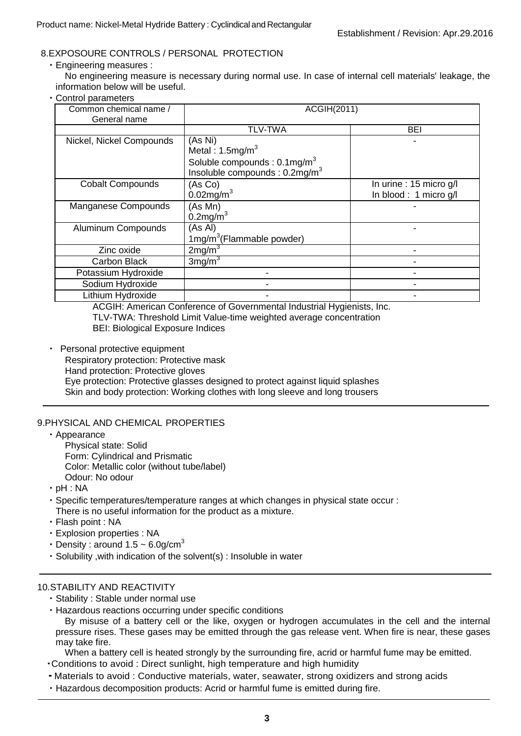## 8.EXPOSOURE CONTROLS / PERSONAL PROTECTION

・Engineering measures :

No engineering measure is necessary during normal use. In case of internal cell materials' leakage, the information below will be useful.

・Control parameters

| Common chemical name /<br>General name | ACGIH(2011)                                                                                                                    |                                                  |  |
|----------------------------------------|--------------------------------------------------------------------------------------------------------------------------------|--------------------------------------------------|--|
|                                        | <b>TLV-TWA</b>                                                                                                                 | BEI                                              |  |
| Nickel, Nickel Compounds               | (As Ni)<br>Metal: $1.5 \text{mg/m}^3$<br>Soluble compounds : $0.1 \text{mg/m}^3$<br>Insoluble compounds : 0.2mg/m <sup>3</sup> |                                                  |  |
| <b>Cobalt Compounds</b>                | (As Co)<br>$0.02$ mg/m <sup>3</sup>                                                                                            | In urine : 15 micro g/l<br>In blood: 1 micro g/l |  |
| Manganese Compounds                    | (As Mn)<br>$0.2$ mg/m <sup>3</sup>                                                                                             |                                                  |  |
| Aluminum Compounds                     | (As AI)<br>$1mg/m3$ (Flammable powder)                                                                                         |                                                  |  |
| Zinc oxide                             | 2mg/m <sup>3</sup>                                                                                                             |                                                  |  |
| Carbon Black                           | 3mg/m <sup>3</sup>                                                                                                             |                                                  |  |
| Potassium Hydroxide                    |                                                                                                                                |                                                  |  |
| Sodium Hydroxide                       |                                                                                                                                |                                                  |  |
| Lithium Hydroxide                      |                                                                                                                                |                                                  |  |

ACGIH: American Conference of Governmental Industrial Hygienists, Inc. TLV-TWA: Threshold Limit Value-time weighted average concentration BEI: Biological Exposure Indices

・ Personal protective equipment Respiratory protection: Protective mask Hand protection: Protective gloves Eye protection: Protective glasses designed to protect against liquid splashes Skin and body protection: Working clothes with long sleeve and long trousers

## 9.PHYSICAL AND CHEMICAL PROPERTIES

- ・Appearance
	- Physical state: Solid
	- Form: Cylindrical and Prismatic
	- Color: Metallic color (without tube/label)
	- Odour: No odour
- ・pH : NA
- ・Specific temperatures/temperature ranges at which changes in physical state occur : There is no useful information for the product as a mixture.
- ・Flash point : NA
- ・Explosion properties : NA
- Density : around  $1.5 \sim 6.0$ g/cm<sup>3</sup>
- ・Solubility ,with indication of the solvent(s) : Insoluble in water

## 10.STABILITY AND REACTIVITY

- ・Stability : Stable under normal use
- ・Hazardous reactions occurring under specific conditions

By misuse of a battery cell or the like, oxygen or hydrogen accumulates in the cell and the internal pressure rises. These gases may be emitted through the gas release vent. When fire is near, these gases may take fire.

When a battery cell is heated strongly by the surrounding fire, acrid or harmful fume may be emitted.

- ・Conditions to avoid : Direct sunlight, high temperature and high humidity
- ・Materials to avoid : Conductive materials, water, seawater, strong oxidizers and strong acids
- ・Hazardous decomposition products: Acrid or harmful fume is emitted during fire.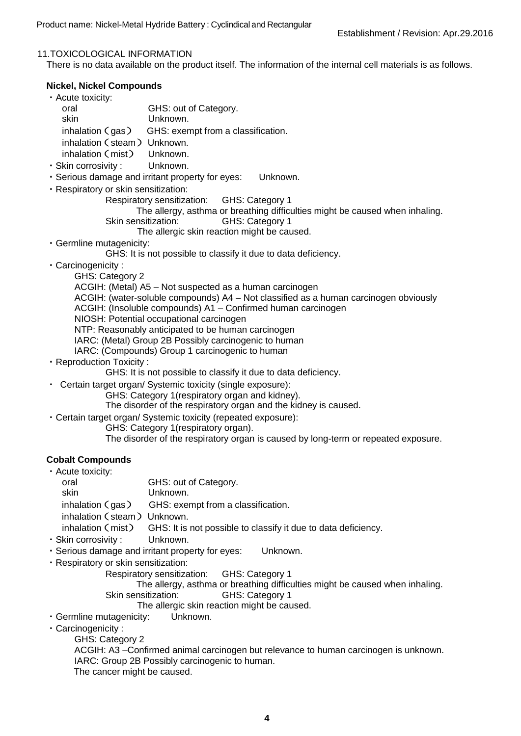#### 11.TOXICOLOGICAL INFORMATION

There is no data available on the product itself. The information of the internal cell materials is as follows.

## **Nickel, Nickel Compounds**

| · Acute toxicity:           |                                                       |
|-----------------------------|-------------------------------------------------------|
| oral                        | GHS: out of Category.                                 |
| skin                        | Unknown.                                              |
|                             | inhalation $(gas)$ GHS: exempt from a classification. |
| inhalation (steam) Unknown. |                                                       |
| inhalation (mist) Unknown.  |                                                       |
|                             |                                                       |

・Skin corrosivity : Unknown.

- ・Serious damage and irritant property for eyes: Unknown.
- ・Respiratory or skin sensitization:

GHS: Category 1 Respiratory sensitization:

The allergy, asthma or breathing difficulties might be caused when inhaling.

Skin sensitization: GHS: Category 1

The allergic skin reaction might be caused.

・Germline mutagenicity:

GHS: It is not possible to classify it due to data deficiency.

- ・Carcinogenicity :
	- GHS: Category 2

ACGIH: (Metal) A5 – Not suspected as a human carcinogen

- ACGIH: (water-soluble compounds) A4 Not classified as a human carcinogen obviously
- ACGIH: (Insoluble compounds) A1 Confirmed human carcinogen
- NIOSH: Potential occupational carcinogen

NTP: Reasonably anticipated to be human carcinogen

- IARC: (Metal) Group 2B Possibly carcinogenic to human
- IARC: (Compounds) Group 1 carcinogenic to human
- ・Reproduction Toxicity :

GHS: It is not possible to classify it due to data deficiency.

- ・ Certain target organ/ Systemic toxicity (single exposure):
	- GHS: Category 1(respiratory organ and kidney).

The disorder of the respiratory organ and the kidney is caused.

- ・Certain target organ/ Systemic toxicity (repeated exposure):
	- GHS: Category 1(respiratory organ).

The disorder of the respiratory organ is caused by long-term or repeated exposure.

## **Cobalt Compounds**

| • Acute toxicity:           |                                                                                  |
|-----------------------------|----------------------------------------------------------------------------------|
| oral                        | GHS: out of Category.                                                            |
| skin                        | Unknown.                                                                         |
|                             | inhalation $(gas)$ GHS: exempt from a classification.                            |
| inhalation (steam) Unknown. |                                                                                  |
|                             | inhalation (mist) GHS: It is not possible to classify it due to data deficiency. |
|                             |                                                                                  |

- ・Skin corrosivity : Unknown.
- ・Serious damage and irritant property for eyes: Unknown.
- ・Respiratory or skin sensitization:
	- GHS: Category 1 Respiratory sensitization:

GHS: Category 1 The allergy, asthma or breathing difficulties might be caused when inhaling. Skin sensitization:

The allergic skin reaction might be caused.

- ・Germline mutagenicity: Unknown.
- ・Carcinogenicity :

GHS: Category 2

ACGIH: A3 –Confirmed animal carcinogen but relevance to human carcinogen is unknown. IARC: Group 2B Possibly carcinogenic to human.

The cancer might be caused.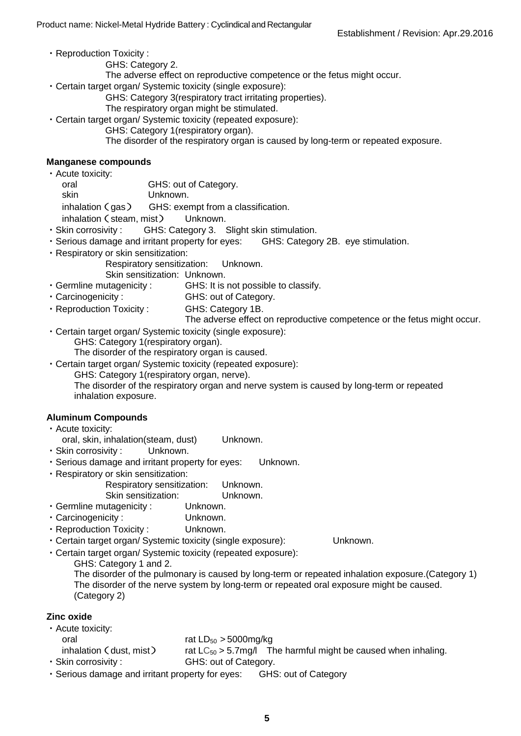- ・Reproduction Toxicity :
	- GHS: Category 2.
	- The adverse effect on reproductive competence or the fetus might occur.
- ・Certain target organ/ Systemic toxicity (single exposure):
	- GHS: Category 3(respiratory tract irritating properties).
	- The respiratory organ might be stimulated.
- ・Certain target organ/ Systemic toxicity (repeated exposure):
	- GHS: Category 1(respiratory organ).
		- The disorder of the respiratory organ is caused by long-term or repeated exposure.

#### **Manganese compounds**

- oral GHS: out of Category. ان البحري المستعدد المستعدد المستعدد<br>inhalation ( gas ) GHS: exempt from a classification. ・Acute toxicity: skin Unknown. inhalation (gas) GHS: exempt from<br>inhalation (steam, mist) Unknown.
- · Skin corrosivity: GHS: Category 3. Slight skin stimulation.
- ・Serious damage and irritant property for eyes: GHS: Category 2B. eye stimulation.
- ・Respiratory or skin sensitization:

Respiratory sensitization: Unknown.

Skin sensitization: Unknown.

- Germline mutagenicity: GHS: It is not possible to classify.
- · Carcinogenicity: GHS: out of Category.
- ・Reproduction Toxicity : GHS: Category 1B.
	- The adverse effect on reproductive competence or the fetus might occur.
- ・Certain target organ/ Systemic toxicity (single exposure): GHS: Category 1(respiratory organ).

The disorder of the respiratory organ is caused.

・Certain target organ/ Systemic toxicity (repeated exposure): GHS: Category 1(respiratory organ, nerve). The disorder of the respiratory organ and nerve system is caused by long-term or repeated inhalation exposure.

## **Aluminum Compounds**

- ・Acute toxicity:
- oral, skin, inhalation(steam, dust) Unknown.
- ・Skin corrosivity : Unknown.
- ・Serious damage and irritant property for eyes: Unknown.
- ・Respiratory or skin sensitization:

Respiratory sensitization: Unknown.

Skin sensitization: Unknown.

- ・Germline mutagenicity : Unknown.
- ・Carcinogenicity : Unknown.

(Category 2)

- ・Reproduction Toxicity : Unknown.
- ・Certain target organ/ Systemic toxicity (single exposure): Unknown.
- ・Certain target organ/ Systemic toxicity (repeated exposure):

GHS: Category 1 and 2. The disorder of the pulmonary is caused by long-term or repeated inhalation exposure.(Category 1) The disorder of the nerve system by long-term or repeated oral exposure might be caused.

**Zinc oxide**

#### oral  $\qquad \qquad$  rat  $LD_{50} > 5000 \text{mg/kg}$ orai rat LD<sub>50</sub> > 5000mg/kg<br>inhalation (dust, mist) rat LC<sub>50</sub> > 5.7mg/l The harmful might be caused when inhaling. · Skin corrosivity: ・Acute toxicity: GHS: out of Category.

・Serious damage and irritant property for eyes: GHS: out of Category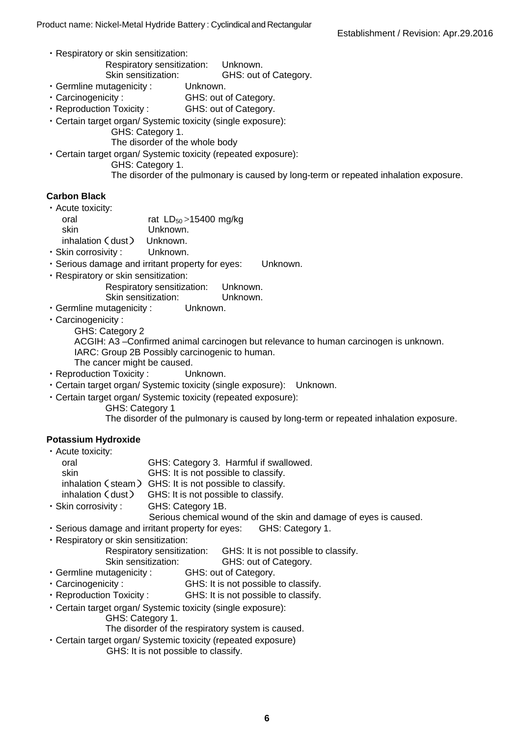- ・Respiratory or skin sensitization:
	- Respiratory sensitization: Unknown.<br>Skin sensitization: GHS: out o
- Skin sensitization: GHS: out of Category. ・Germline mutagenicity : Unknown.
- · Carcinogenicity: GHS: out of Category.
- ・Reproduction Toxicity : GHS: out of Category.
- ・Certain target organ/ Systemic toxicity (single exposure):
	- GHS: Category 1.

The disorder of the whole body

- ・Certain target organ/ Systemic toxicity (repeated exposure):
	- GHS: Category 1.
		- The disorder of the pulmonary is caused by long-term or repeated inhalation exposure.

#### **Carbon Black**

・Acute toxicity:

- oral  $\qquad \qquad$  rat  $LD_{50} > 15400$  mg/kg skin Unknown. inhalation (dust) Unknown.
- ・Skin corrosivity : Unknown.
- ・Serious damage and irritant property for eyes: Unknown.
- ・Respiratory or skin sensitization:
	- Respiratory sensitization: Unknown.
	- Skin sensitization: Unknown.<br>utagenicity: Unknown.
- ・Germline mutagenicity : Unknown.
- ・Carcinogenicity :
	- GHS: Category 2

ACGIH: A3 –Confirmed animal carcinogen but relevance to human carcinogen is unknown. IARC: Group 2B Possibly carcinogenic to human.

- The cancer might be caused.
- ・Reproduction Toxicity : Unknown.
- ・Certain target organ/ Systemic toxicity (single exposure): Unknown.
- ・Certain target organ/ Systemic toxicity (repeated exposure):
	- GHS: Category 1

The disorder of the pulmonary is caused by long-term or repeated inhalation exposure.

## **Potassium Hydroxide**

| • Acute toxicity:   |                                                         |
|---------------------|---------------------------------------------------------|
| oral                | GHS: Category 3. Harmful if swallowed.                  |
| skin                | GHS: It is not possible to classify.                    |
|                     | inhalation (steam) GHS: It is not possible to classify. |
|                     | inhalation (dust) GHS: It is not possible to classify.  |
| · Skin corrosivity: | GHS: Category 1B.                                       |

- Serious chemical wound of the skin and damage of eyes is caused.
- ・Serious damage and irritant property for eyes: GHS: Category 1.
- ・Respiratory or skin sensitization:
	- Respiratory sensitization: GHS: It is not possible to classify.
- Skin sensitization: GHS: out of Category.
- ・Germline mutagenicity : GHS: out of Category.
- · Carcinogenicity: GHS: It is not possible to classify.
- · Reproduction Toxicity: GHS: It is not possible to classify.
- ・Certain target organ/ Systemic toxicity (single exposure):
	- GHS: Category 1.
	- The disorder of the respiratory system is caused.
- ・Certain target organ/ Systemic toxicity (repeated exposure)
	- GHS: It is not possible to classify.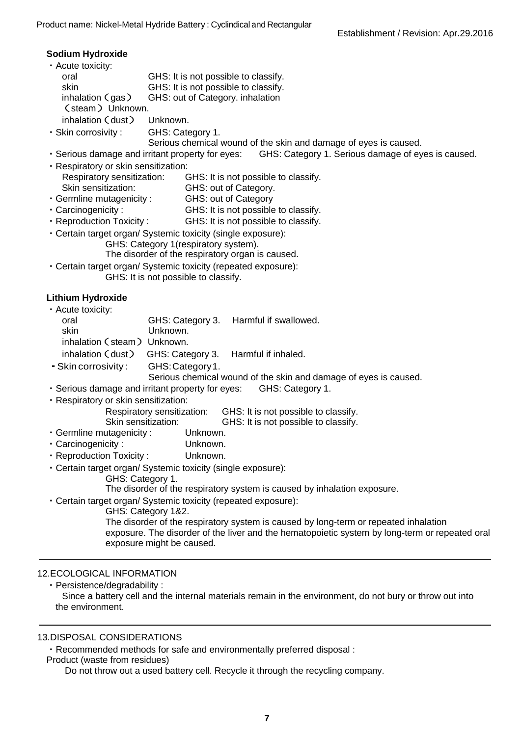#### **Sodium Hydroxide**

 oral GHS: It is not possible to classify. inhalation(gas) GHS: out of Category. inhalation ・Skin corrosivity : GHS: Category 1. • Serious damage and irritant property for eyes: Respiratory sensitization: GHS: It is not possible to classify. Skin sensitization: GHS: out of Category. ・Germline mutagenicity : GHS: out of Category · Carcinogenicity: · Reproduction Toxicity: GHS: Category 3. inhalation (steam) Onkhown.<br>inhalation (dust) GHS: Category 3. Harmful if inhaled. 1. Skin corrosivity : GHS: Category 1. ・Serious damage and irritant property for eyes: GHS: Category 1. Skin sensitization: GHS: It is not possible to classify. ・Germline mutagenicity : Unknown. ・Carcinogenicity : Unknown. ・Reproduction Toxicity : Unknown. GHS: Category 1. GHS: Category 1&2. exposure might be caused. ・Acute toxicity: skin GHS: It is not possible to classify. inhalation (gas)<br>(steam) Unknown. inhalation (dust) Unknown. Serious chemical wound of the skin and damage of eyes is caused. GHS: Category 1. Serious damage of eyes is caused. ・Respiratory or skin sensitization: GHS: It is not possible to classify. GHS: It is not possible to classify. ・Certain target organ/ Systemic toxicity (single exposure): GHS: Category 1(respiratory system). The disorder of the respiratory organ is caused. ・Certain target organ/ Systemic toxicity (repeated exposure): GHS: It is not possible to classify. **Lithium Hydroxide** ・Acute toxicity: oral GHS: Category 3. Harmful if swallowed.<br>
Skin Unknown. Unknown. inhalation (steam) Unknown. Serious chemical wound of the skin and damage of eyes is caused. ・Respiratory or skin sensitization: Respiratory sensitization: GHS: It is not possible to classify. ・Certain target organ/ Systemic toxicity (single exposure): The disorder of the respiratory system is caused by inhalation exposure. ・Certain target organ/ Systemic toxicity (repeated exposure): The disorder of the respiratory system is caused by long-term or repeated inhalation exposure. The disorder of the liver and the hematopoietic system by long-term or repeated oral 12.ECOLOGICAL INFORMATION ・Persistence/degradability :

Since a battery cell and the internal materials remain in the environment, do not bury or throw out into the environment.

#### 13.DISPOSAL CONSIDERATIONS

・Recommended methods for safe and environmentally preferred disposal :

Product (waste from residues)

Do not throw out a used battery cell. Recycle it through the recycling company.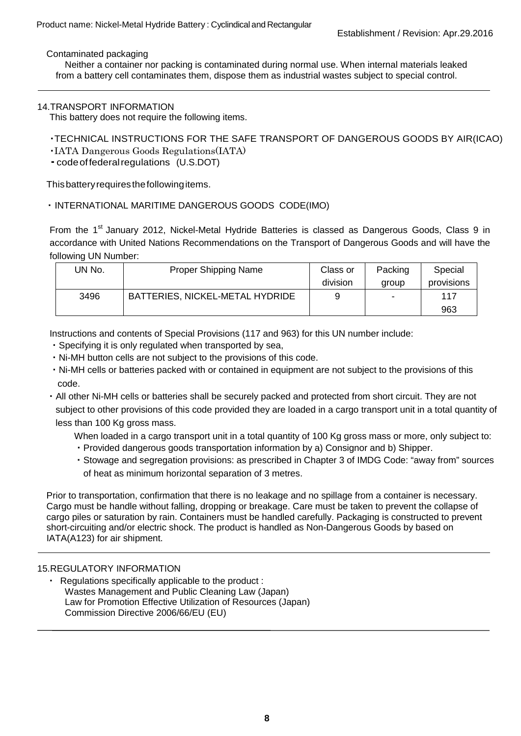Contaminated packaging

 from a battery cell contaminates them, dispose them as industrial wastes subject to special control. Neither a container nor packing is contaminated during normal use. When internal materials leaked

#### 14.TRANSPORT INFORMATION

This battery does not require the following items.

## ・TECHNICAL INSTRUCTIONS FOR THE SAFE TRANSPORT OF DANGEROUS GOODS BY AIR(ICAO)

・IATA Dangerous Goods Regulations(IATA)

・codeoffederal regulations (U.S.DOT)

This battery requiresthefollowing items.

## ・ INTERNATIONAL MARITIME DANGEROUS GOODS CODE(IMO)

From the 1<sup>st</sup> January 2012, Nickel-Metal Hydride Batteries is classed as Dangerous Goods, Class 9 in accordance with United Nations Recommendations on the Transport of Dangerous Goods and will have the following UN Number:

| JN No. | <b>Proper Shipping Name</b>     | Class or | Packing | Special    |
|--------|---------------------------------|----------|---------|------------|
|        |                                 | division | group   | provisions |
| 3496   | BATTERIES, NICKEL-METAL HYDRIDE | 9        |         | 117        |
|        |                                 |          |         | 963        |

Instructions and contents of Special Provisions (117 and 963) for this UN number include:

- ・Specifying it is only regulated when transported by sea,
- ・Ni-MH button cells are not subject to the provisions of this code.
- ・Ni-MH cells or batteries packed with or contained in equipment are not subject to the provisions of this code.
- ・All other Ni-MH cells or batteries shall be securely packed and protected from short circuit. They are not subject to other provisions of this code provided they are loaded in a cargo transport unit in a total quantity of less than 100 Kg gross mass.

When loaded in a cargo transport unit in a total quantity of 100 Kg gross mass or more, only subject to:

- ・Provided dangerous goods transportation information by a) Consignor and b) Shipper.
- ・Stowage and segregation provisions: as prescribed in Chapter 3 of IMDG Code: "away from" sources of heat as minimum horizontal separation of 3 metres.

Prior to transportation, confirmation that there is no leakage and no spillage from a container is necessary. Cargo must be handle without falling, dropping or breakage. Care must be taken to prevent the collapse of cargo piles or saturation by rain. Containers must be handled carefully. Packaging is constructed to prevent short-circuiting and/or electric shock. The product is handled as Non-Dangerous Goods by based on IATA(A123) for air shipment.

#### 15.REGULATORY INFORMATION

 Law for Promotion Effective Utilization of Resources (Japan) Regulations specifically applicable to the product : Wastes Management and Public Cleaning Law (Japan) Commission Directive 2006/66/EU (EU)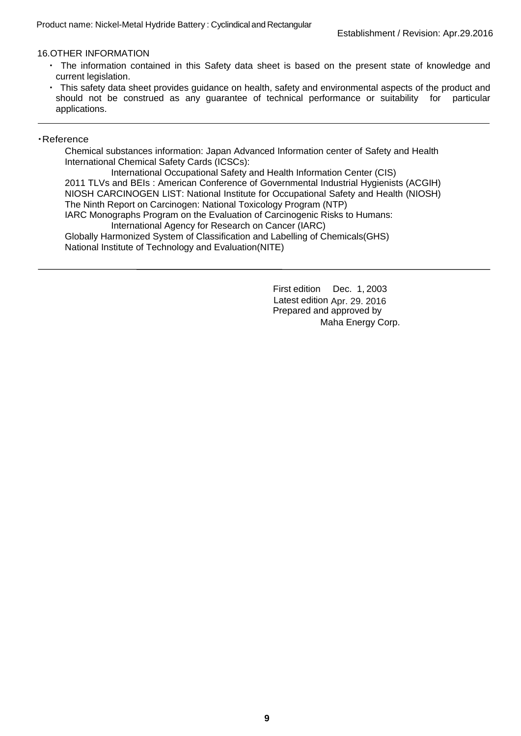## 16.OTHER INFORMATION

- ・ The information contained in this Safety data sheet is based on the present state of knowledge and current legislation.
- ・ This safety data sheet provides guidance on health, safety and environmental aspects of the product and should not be construed as any guarantee of technical performance or suitability for particular applications.

#### ・Reference

 Chemical substances information: Japan Advanced Information center of Safety and Health International Chemical Safety Cards (ICSCs):

 2011 TLVs and BEIs : American Conference of Governmental Industrial Hygienists (ACGIH) International Occupational Safety and Health Information Center (CIS) NIOSH CARCINOGEN LIST: National Institute for Occupational Safety and Health (NIOSH) The Ninth Report on Carcinogen: National Toxicology Program (NTP) IARC Monographs Program on the Evaluation of Carcinogenic Risks to Humans: International Agency for Research on Cancer (IARC) Globally Harmonized System of Classification and Labelling of Chemicals(GHS) National Institute of Technology and Evaluation(NITE)

> First edition Dec. 1, 2003 Latest edition Apr. 29. 2016 Prepared and approved by Maha Energy Corp.